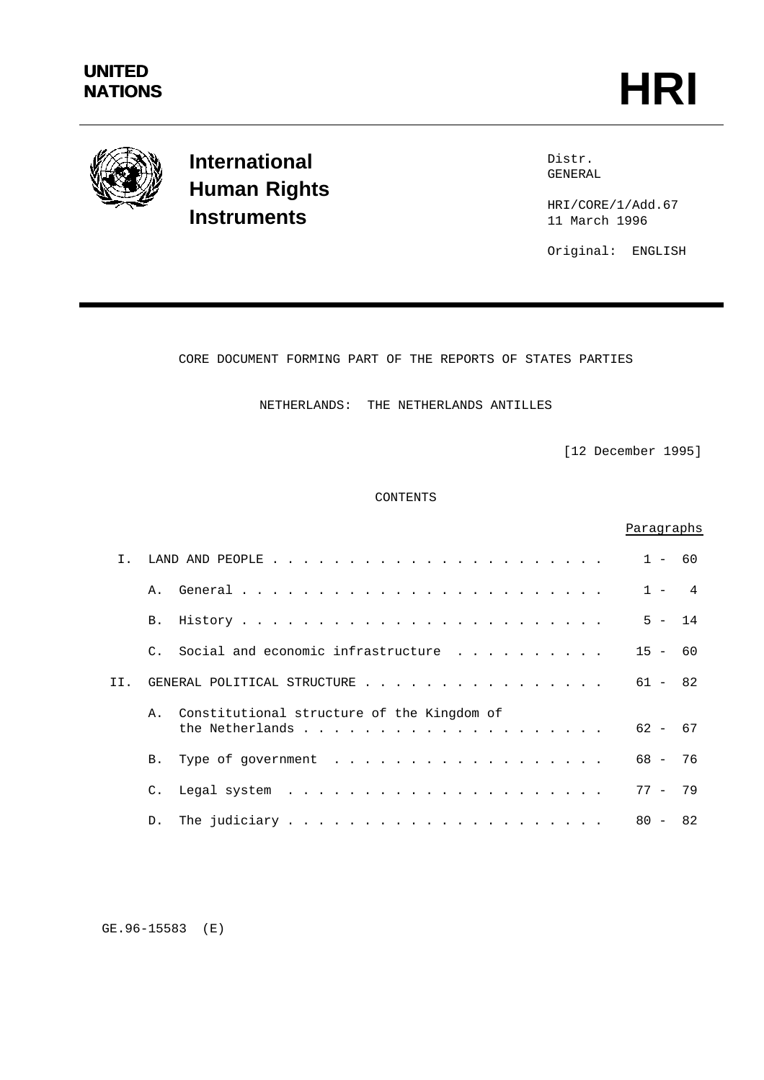

**International Human Rights Instruments**

Distr. GENERAL

HRI/CORE/1/Add.67 11 March 1996

Original: ENGLISH

CORE DOCUMENT FORMING PART OF THE REPORTS OF STATES PARTIES

NETHERLANDS: THE NETHERLANDS ANTILLES

[12 December 1995]

CONTENTS

|                |                 |                                            | Paragraphs |    |
|----------------|-----------------|--------------------------------------------|------------|----|
| $\mathsf{T}$ . |                 |                                            | $1 - 60$   |    |
|                |                 |                                            | $1 - 4$    |    |
|                | B.              |                                            | $5 - 14$   |    |
|                |                 | C. Social and economic infrastructure      | $15 - 60$  |    |
| II.            |                 | GENERAL POLITICAL STRUCTURE                | $61 - 82$  |    |
|                | $\mathsf{A}$ .  | Constitutional structure of the Kingdom of | $62 - 67$  |    |
|                | <b>B.</b>       | Type of government                         | $68 - 76$  |    |
|                | $\mathcal{C}$ . |                                            | $77 - 79$  |    |
|                | D.              |                                            | $80 -$     | 82 |

GE.96-15583 (E)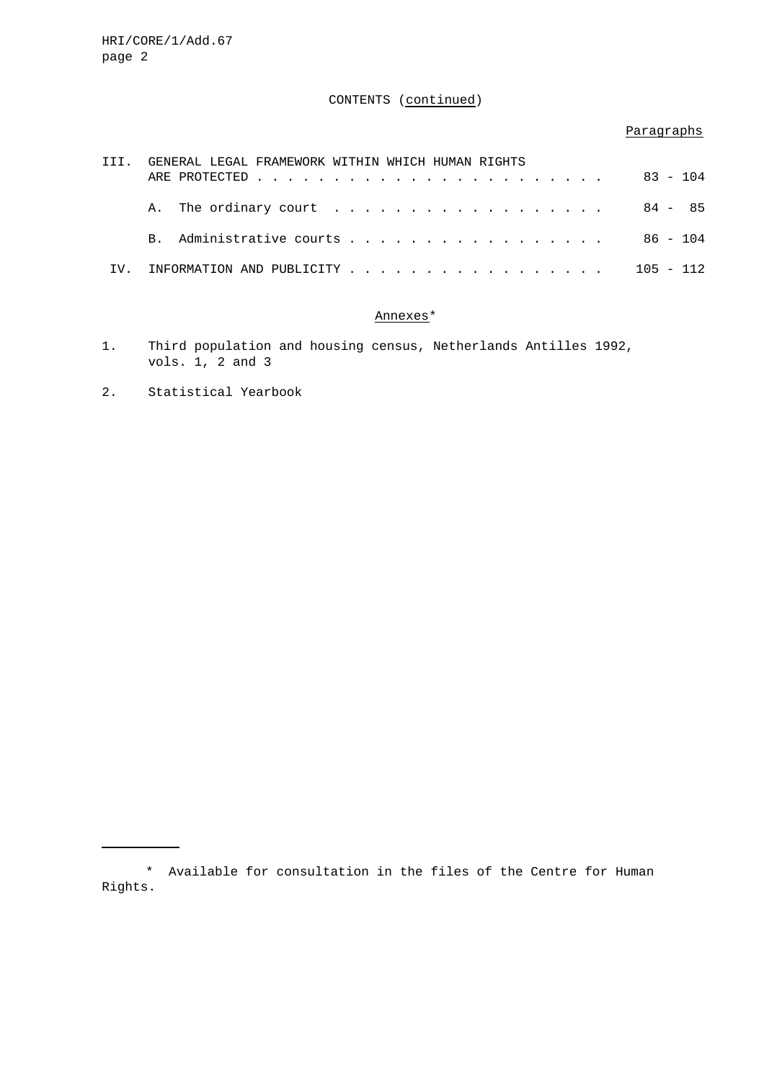# CONTENTS (continued)

# Paragraphs

| TTT. |  | GENERAL LEGAL FRAMEWORK WITHIN WHICH HUMAN RIGHTS |  |  |  |  |  |  |  |  |  |  |  |  | $83 - 104$  |
|------|--|---------------------------------------------------|--|--|--|--|--|--|--|--|--|--|--|--|-------------|
|      |  |                                                   |  |  |  |  |  |  |  |  |  |  |  |  | 84 - 85     |
|      |  | B. Administrative courts                          |  |  |  |  |  |  |  |  |  |  |  |  | 86 - 104    |
| TV.  |  | INFORMATION AND PUBLICITY                         |  |  |  |  |  |  |  |  |  |  |  |  | $105 - 112$ |

# Annexes\*

- 1. Third population and housing census, Netherlands Antilles 1992, vols. 1, 2 and 3
- 2. Statistical Yearbook

<sup>\*</sup> Available for consultation in the files of the Centre for Human Rights.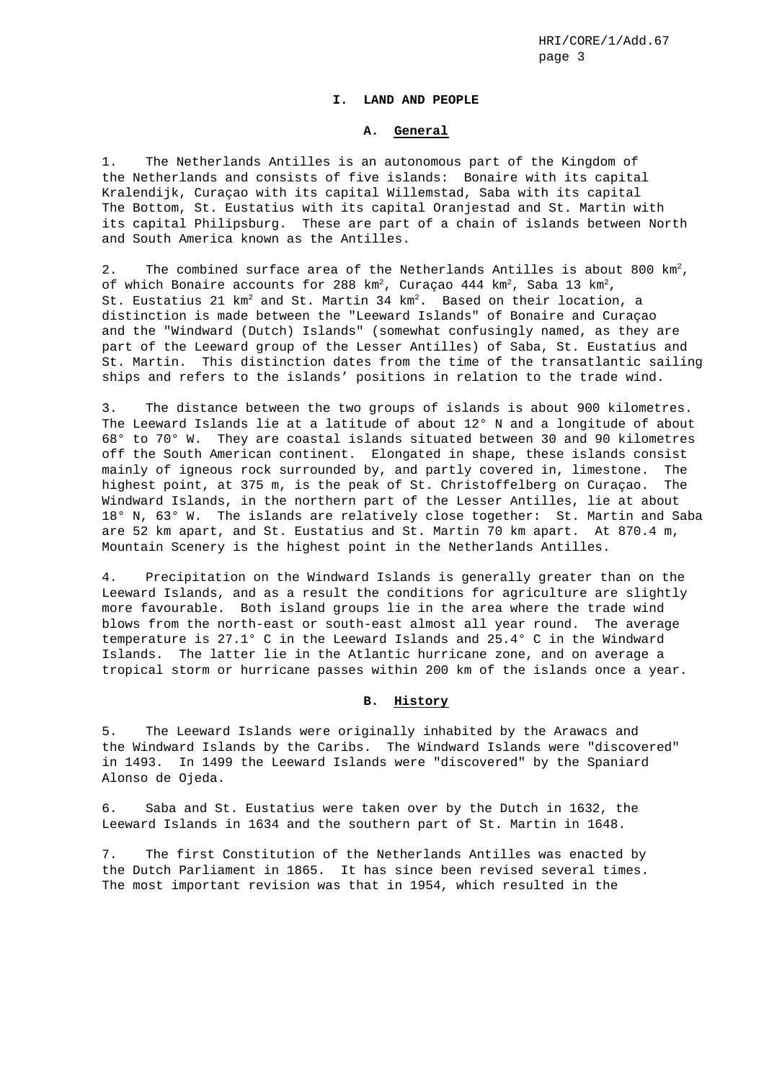### **I. LAND AND PEOPLE**

### **A. General**

1. The Netherlands Antilles is an autonomous part of the Kingdom of the Netherlands and consists of five islands: Bonaire with its capital Kralendijk, Curaçao with its capital Willemstad, Saba with its capital The Bottom, St. Eustatius with its capital Oranjestad and St. Martin with its capital Philipsburg. These are part of a chain of islands between North and South America known as the Antilles.

2. The combined surface area of the Netherlands Antilles is about 800  $km^2$ , of which Bonaire accounts for 288  $km^2$ , Curaçao 444  $km^2$ , Saba 13  $km^2$ , St. Eustatius 21  $km^2$  and St. Martin 34  $km^2$ . Based on their location, a distinction is made between the "Leeward Islands" of Bonaire and Curaçao and the "Windward (Dutch) Islands" (somewhat confusingly named, as they are part of the Leeward group of the Lesser Antilles) of Saba, St. Eustatius and St. Martin. This distinction dates from the time of the transatlantic sailing ships and refers to the islands' positions in relation to the trade wind.

3. The distance between the two groups of islands is about 900 kilometres. The Leeward Islands lie at a latitude of about 12° N and a longitude of about 68° to 70° W. They are coastal islands situated between 30 and 90 kilometres off the South American continent. Elongated in shape, these islands consist mainly of igneous rock surrounded by, and partly covered in, limestone. The highest point, at 375 m, is the peak of St. Christoffelberg on Curaçao. The Windward Islands, in the northern part of the Lesser Antilles, lie at about 18° N, 63° W. The islands are relatively close together: St. Martin and Saba are 52 km apart, and St. Eustatius and St. Martin 70 km apart. At 870.4 m, Mountain Scenery is the highest point in the Netherlands Antilles.

4. Precipitation on the Windward Islands is generally greater than on the Leeward Islands, and as a result the conditions for agriculture are slightly more favourable. Both island groups lie in the area where the trade wind blows from the north-east or south-east almost all year round. The average temperature is 27.1° C in the Leeward Islands and 25.4° C in the Windward Islands. The latter lie in the Atlantic hurricane zone, and on average a tropical storm or hurricane passes within 200 km of the islands once a year.

#### **B. History**

5. The Leeward Islands were originally inhabited by the Arawacs and the Windward Islands by the Caribs. The Windward Islands were "discovered" in 1493. In 1499 the Leeward Islands were "discovered" by the Spaniard Alonso de Ojeda.

6. Saba and St. Eustatius were taken over by the Dutch in 1632, the Leeward Islands in 1634 and the southern part of St. Martin in 1648.

7. The first Constitution of the Netherlands Antilles was enacted by the Dutch Parliament in 1865. It has since been revised several times. The most important revision was that in 1954, which resulted in the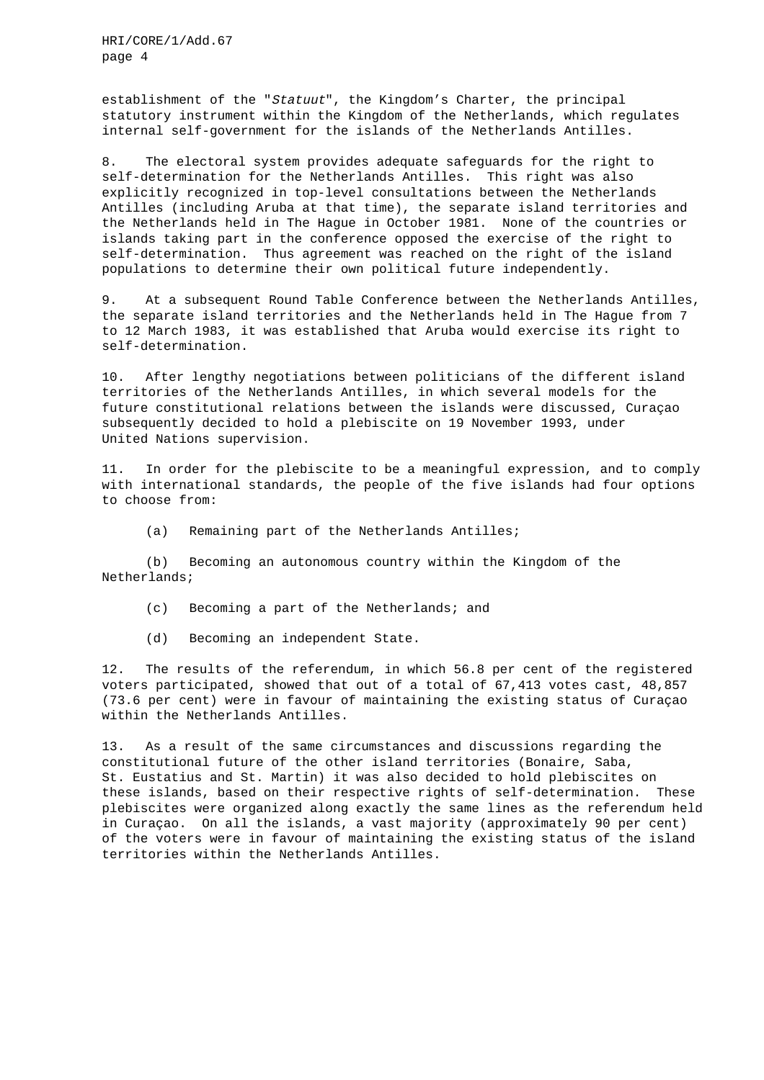establishment of the "Statuut", the Kingdom's Charter, the principal statutory instrument within the Kingdom of the Netherlands, which regulates internal self-government for the islands of the Netherlands Antilles.

8. The electoral system provides adequate safeguards for the right to self-determination for the Netherlands Antilles. This right was also explicitly recognized in top-level consultations between the Netherlands Antilles (including Aruba at that time), the separate island territories and the Netherlands held in The Hague in October 1981. None of the countries or islands taking part in the conference opposed the exercise of the right to self-determination. Thus agreement was reached on the right of the island populations to determine their own political future independently.

9. At a subsequent Round Table Conference between the Netherlands Antilles, the separate island territories and the Netherlands held in The Hague from 7 to 12 March 1983, it was established that Aruba would exercise its right to self-determination.

10. After lengthy negotiations between politicians of the different island territories of the Netherlands Antilles, in which several models for the future constitutional relations between the islands were discussed, Curaçao subsequently decided to hold a plebiscite on 19 November 1993, under United Nations supervision.

11. In order for the plebiscite to be a meaningful expression, and to comply with international standards, the people of the five islands had four options to choose from:

(a) Remaining part of the Netherlands Antilles;

(b) Becoming an autonomous country within the Kingdom of the Netherlands;

- (c) Becoming a part of the Netherlands; and
- (d) Becoming an independent State.

12. The results of the referendum, in which 56.8 per cent of the registered voters participated, showed that out of a total of 67,413 votes cast, 48,857 (73.6 per cent) were in favour of maintaining the existing status of Curaçao within the Netherlands Antilles.

13. As a result of the same circumstances and discussions regarding the constitutional future of the other island territories (Bonaire, Saba, St. Eustatius and St. Martin) it was also decided to hold plebiscites on these islands, based on their respective rights of self-determination. These plebiscites were organized along exactly the same lines as the referendum held in Curaçao. On all the islands, a vast majority (approximately 90 per cent) of the voters were in favour of maintaining the existing status of the island territories within the Netherlands Antilles.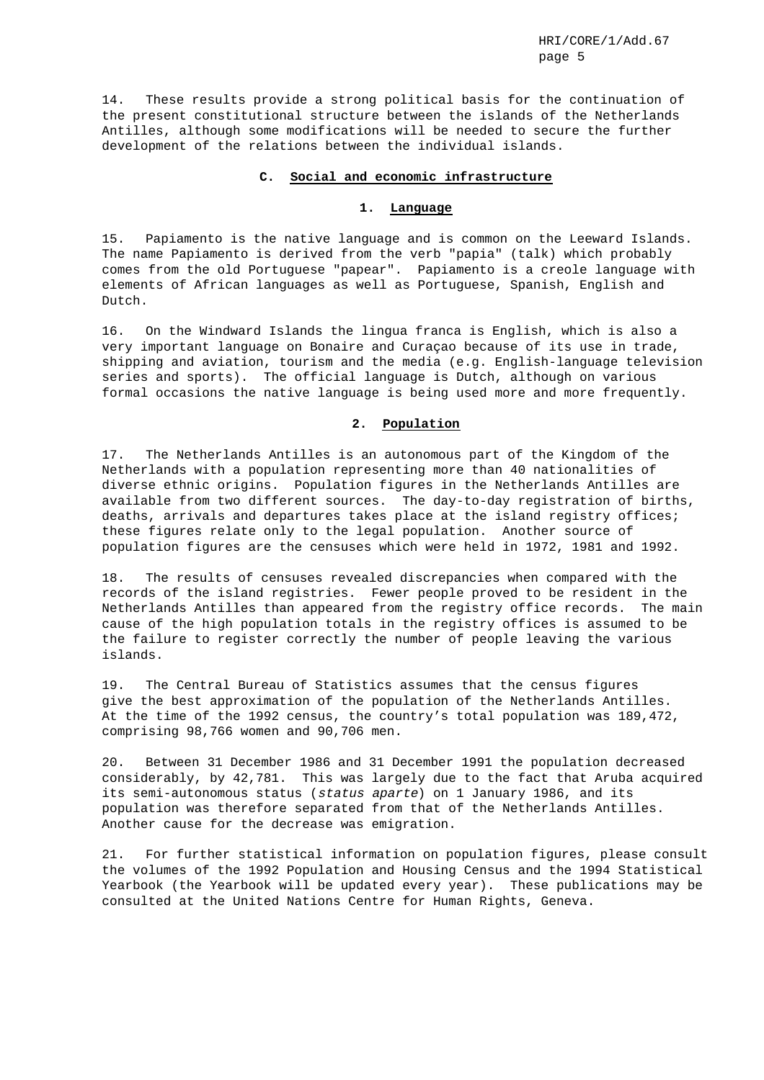14. These results provide a strong political basis for the continuation of the present constitutional structure between the islands of the Netherlands Antilles, although some modifications will be needed to secure the further development of the relations between the individual islands.

# **C. Social and economic infrastructure**

#### **1. Language**

15. Papiamento is the native language and is common on the Leeward Islands. The name Papiamento is derived from the verb "papia" (talk) which probably comes from the old Portuguese "papear". Papiamento is a creole language with elements of African languages as well as Portuguese, Spanish, English and Dutch.

16. On the Windward Islands the lingua franca is English, which is also a very important language on Bonaire and Curaçao because of its use in trade, shipping and aviation, tourism and the media (e.g. English-language television series and sports). The official language is Dutch, although on various formal occasions the native language is being used more and more frequently.

#### **2. Population**

17. The Netherlands Antilles is an autonomous part of the Kingdom of the Netherlands with a population representing more than 40 nationalities of diverse ethnic origins. Population figures in the Netherlands Antilles are available from two different sources. The day-to-day registration of births, deaths, arrivals and departures takes place at the island registry offices; these figures relate only to the legal population. Another source of population figures are the censuses which were held in 1972, 1981 and 1992.

18. The results of censuses revealed discrepancies when compared with the records of the island registries. Fewer people proved to be resident in the Netherlands Antilles than appeared from the registry office records. The main cause of the high population totals in the registry offices is assumed to be the failure to register correctly the number of people leaving the various islands.

19. The Central Bureau of Statistics assumes that the census figures give the best approximation of the population of the Netherlands Antilles. At the time of the 1992 census, the country's total population was 189,472, comprising 98,766 women and 90,706 men.

20. Between 31 December 1986 and 31 December 1991 the population decreased considerably, by 42,781. This was largely due to the fact that Aruba acquired its semi-autonomous status (status aparte) on 1 January 1986, and its population was therefore separated from that of the Netherlands Antilles. Another cause for the decrease was emigration.

21. For further statistical information on population figures, please consult the volumes of the 1992 Population and Housing Census and the 1994 Statistical Yearbook (the Yearbook will be updated every year). These publications may be consulted at the United Nations Centre for Human Rights, Geneva.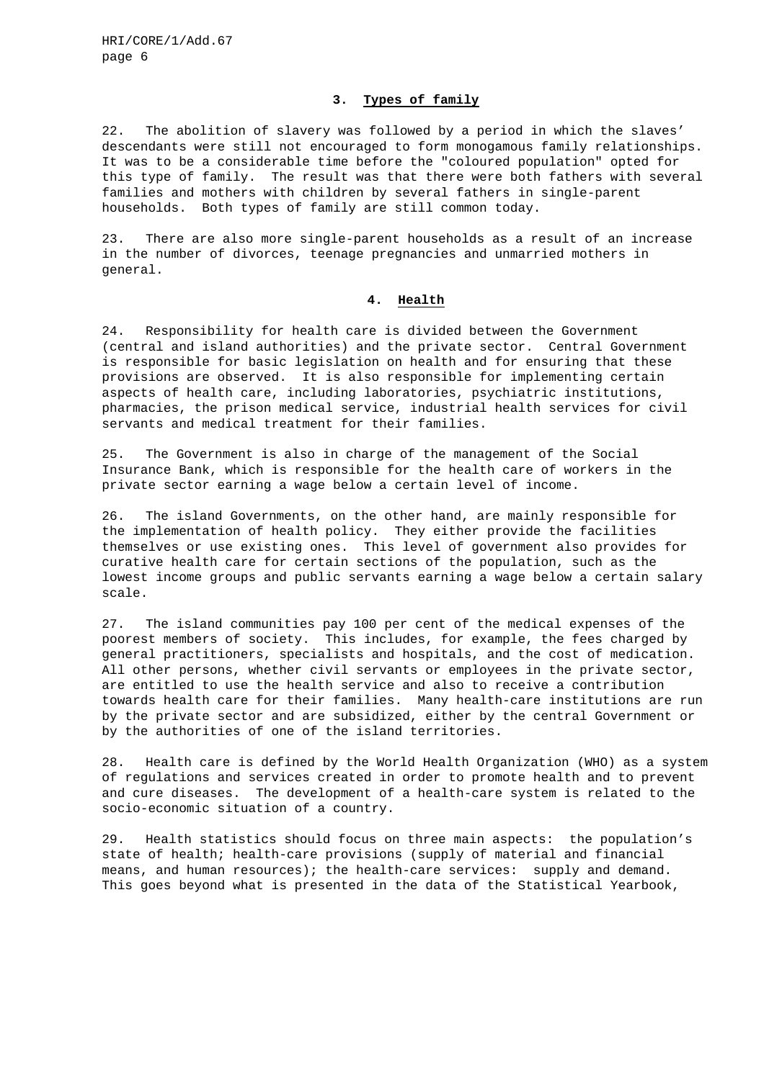### **3. Types of family**

22. The abolition of slavery was followed by a period in which the slaves' descendants were still not encouraged to form monogamous family relationships. It was to be a considerable time before the "coloured population" opted for this type of family. The result was that there were both fathers with several families and mothers with children by several fathers in single-parent households. Both types of family are still common today.

23. There are also more single-parent households as a result of an increase in the number of divorces, teenage pregnancies and unmarried mothers in general.

# **4. Health**

24. Responsibility for health care is divided between the Government (central and island authorities) and the private sector. Central Government is responsible for basic legislation on health and for ensuring that these provisions are observed. It is also responsible for implementing certain aspects of health care, including laboratories, psychiatric institutions, pharmacies, the prison medical service, industrial health services for civil servants and medical treatment for their families.

25. The Government is also in charge of the management of the Social Insurance Bank, which is responsible for the health care of workers in the private sector earning a wage below a certain level of income.

26. The island Governments, on the other hand, are mainly responsible for the implementation of health policy. They either provide the facilities themselves or use existing ones. This level of government also provides for curative health care for certain sections of the population, such as the lowest income groups and public servants earning a wage below a certain salary scale.

27. The island communities pay 100 per cent of the medical expenses of the poorest members of society. This includes, for example, the fees charged by general practitioners, specialists and hospitals, and the cost of medication. All other persons, whether civil servants or employees in the private sector, are entitled to use the health service and also to receive a contribution towards health care for their families. Many health-care institutions are run by the private sector and are subsidized, either by the central Government or by the authorities of one of the island territories.

28. Health care is defined by the World Health Organization (WHO) as a system of regulations and services created in order to promote health and to prevent and cure diseases. The development of a health-care system is related to the socio-economic situation of a country.

29. Health statistics should focus on three main aspects: the population's state of health; health-care provisions (supply of material and financial means, and human resources); the health-care services: supply and demand. This goes beyond what is presented in the data of the Statistical Yearbook,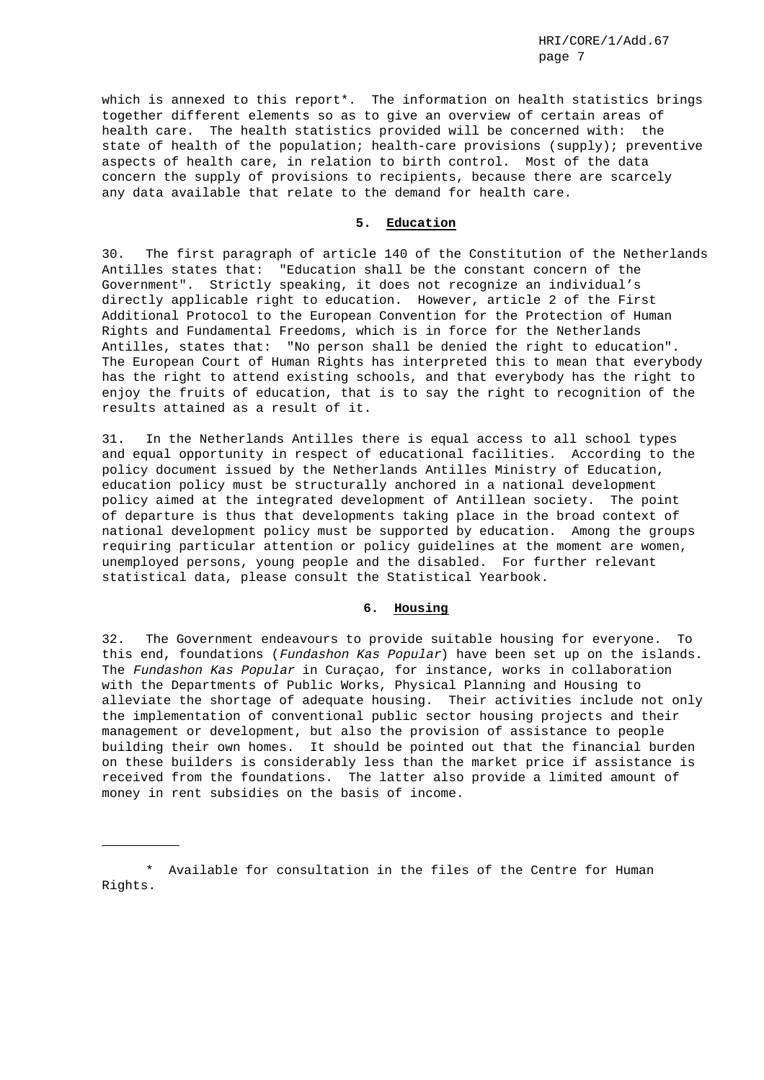which is annexed to this report\*. The information on health statistics brings together different elements so as to give an overview of certain areas of health care. The health statistics provided will be concerned with: the state of health of the population; health-care provisions (supply); preventive aspects of health care, in relation to birth control. Most of the data concern the supply of provisions to recipients, because there are scarcely any data available that relate to the demand for health care.

# **5. Education**

30. The first paragraph of article 140 of the Constitution of the Netherlands Antilles states that: "Education shall be the constant concern of the Government". Strictly speaking, it does not recognize an individual's directly applicable right to education. However, article 2 of the First Additional Protocol to the European Convention for the Protection of Human Rights and Fundamental Freedoms, which is in force for the Netherlands Antilles, states that: "No person shall be denied the right to education". The European Court of Human Rights has interpreted this to mean that everybody has the right to attend existing schools, and that everybody has the right to enjoy the fruits of education, that is to say the right to recognition of the results attained as a result of it.

31. In the Netherlands Antilles there is equal access to all school types and equal opportunity in respect of educational facilities. According to the policy document issued by the Netherlands Antilles Ministry of Education, education policy must be structurally anchored in a national development policy aimed at the integrated development of Antillean society. The point of departure is thus that developments taking place in the broad context of national development policy must be supported by education. Among the groups requiring particular attention or policy guidelines at the moment are women, unemployed persons, young people and the disabled. For further relevant statistical data, please consult the Statistical Yearbook.

# **6. Housing**

32. The Government endeavours to provide suitable housing for everyone. To this end, foundations (Fundashon Kas Popular) have been set up on the islands. The Fundashon Kas Popular in Curaçao, for instance, works in collaboration with the Departments of Public Works, Physical Planning and Housing to alleviate the shortage of adequate housing. Their activities include not only the implementation of conventional public sector housing projects and their management or development, but also the provision of assistance to people building their own homes. It should be pointed out that the financial burden on these builders is considerably less than the market price if assistance is received from the foundations. The latter also provide a limited amount of money in rent subsidies on the basis of income.

<sup>\*</sup> Available for consultation in the files of the Centre for Human Rights.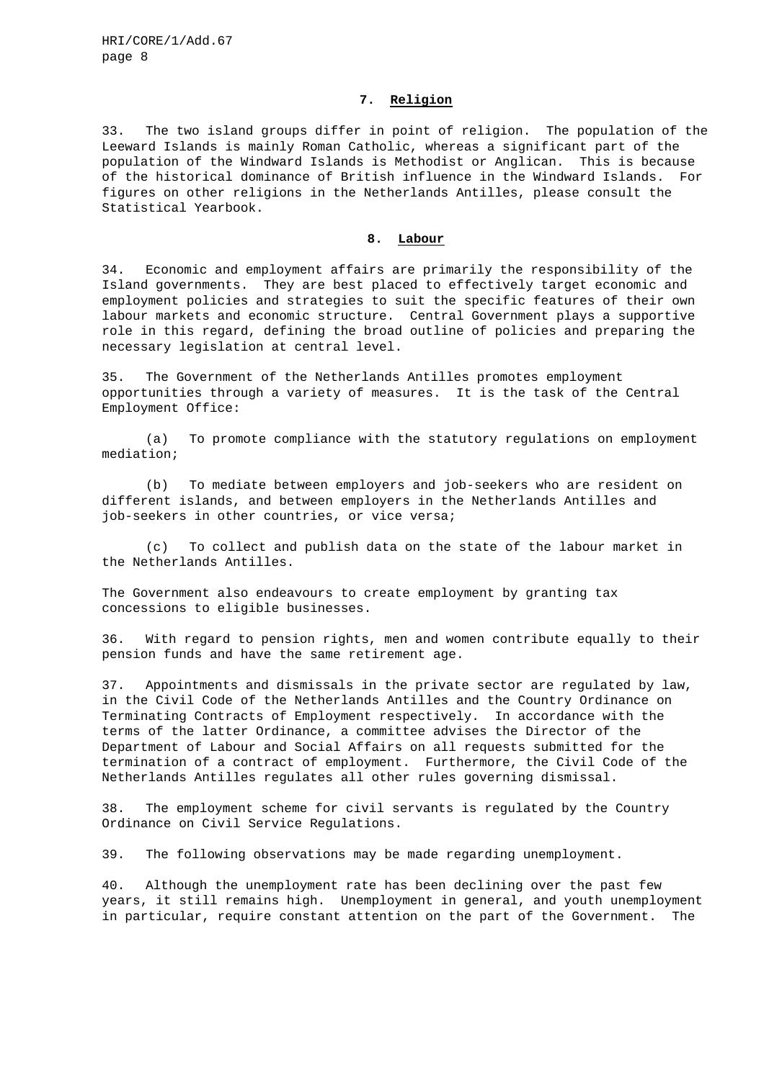# **7. Religion**

33. The two island groups differ in point of religion. The population of the Leeward Islands is mainly Roman Catholic, whereas a significant part of the population of the Windward Islands is Methodist or Anglican. This is because of the historical dominance of British influence in the Windward Islands. For figures on other religions in the Netherlands Antilles, please consult the Statistical Yearbook.

#### **8. Labour**

34. Economic and employment affairs are primarily the responsibility of the Island governments. They are best placed to effectively target economic and employment policies and strategies to suit the specific features of their own labour markets and economic structure. Central Government plays a supportive role in this regard, defining the broad outline of policies and preparing the necessary legislation at central level.

35. The Government of the Netherlands Antilles promotes employment opportunities through a variety of measures. It is the task of the Central Employment Office:

(a) To promote compliance with the statutory regulations on employment mediation;

(b) To mediate between employers and job-seekers who are resident on different islands, and between employers in the Netherlands Antilles and job-seekers in other countries, or vice versa;

(c) To collect and publish data on the state of the labour market in the Netherlands Antilles.

The Government also endeavours to create employment by granting tax concessions to eligible businesses.

36. With regard to pension rights, men and women contribute equally to their pension funds and have the same retirement age.

37. Appointments and dismissals in the private sector are regulated by law, in the Civil Code of the Netherlands Antilles and the Country Ordinance on Terminating Contracts of Employment respectively. In accordance with the terms of the latter Ordinance, a committee advises the Director of the Department of Labour and Social Affairs on all requests submitted for the termination of a contract of employment. Furthermore, the Civil Code of the Netherlands Antilles regulates all other rules governing dismissal.

38. The employment scheme for civil servants is regulated by the Country Ordinance on Civil Service Regulations.

39. The following observations may be made regarding unemployment.

40. Although the unemployment rate has been declining over the past few years, it still remains high. Unemployment in general, and youth unemployment in particular, require constant attention on the part of the Government. The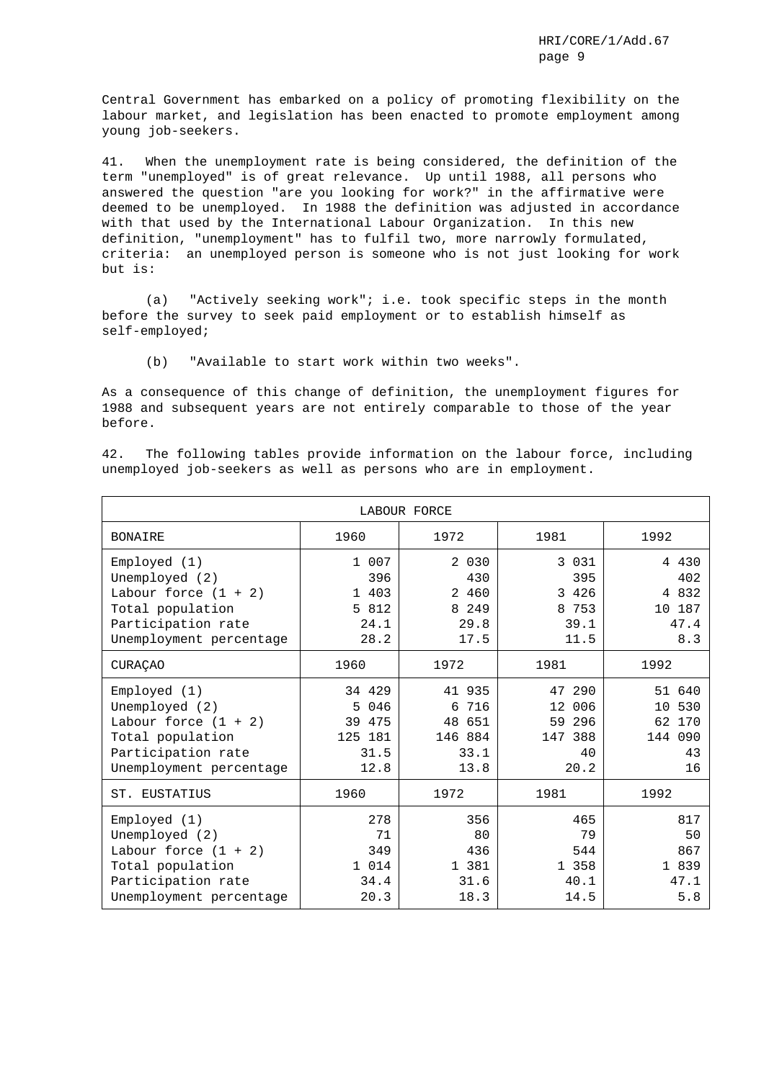Central Government has embarked on a policy of promoting flexibility on the labour market, and legislation has been enacted to promote employment among young job-seekers.

41. When the unemployment rate is being considered, the definition of the term "unemployed" is of great relevance. Up until 1988, all persons who answered the question "are you looking for work?" in the affirmative were deemed to be unemployed. In 1988 the definition was adjusted in accordance with that used by the International Labour Organization. In this new definition, "unemployment" has to fulfil two, more narrowly formulated, criteria: an unemployed person is someone who is not just looking for work but is:

(a) "Actively seeking work"; i.e. took specific steps in the month before the survey to seek paid employment or to establish himself as self-employed;

(b) "Available to start work within two weeks".

As a consequence of this change of definition, the unemployment figures for 1988 and subsequent years are not entirely comparable to those of the year before.

42. The following tables provide information on the labour force, including unemployed job-seekers as well as persons who are in employment.

| LABOUR FORCE                                                                                                                  |                                                         |                                                         |                                                     |                                                      |  |  |  |  |  |  |  |
|-------------------------------------------------------------------------------------------------------------------------------|---------------------------------------------------------|---------------------------------------------------------|-----------------------------------------------------|------------------------------------------------------|--|--|--|--|--|--|--|
| <b>BONAIRE</b>                                                                                                                | 1960                                                    | 1972                                                    | 1981                                                | 1992                                                 |  |  |  |  |  |  |  |
| Emploved (1)<br>Unemployed (2)<br>Labour force $(1 + 2)$<br>Total population<br>Participation rate<br>Unemployment percentage | 1 007<br>396<br>1 403<br>5 812<br>24.1<br>28.2          | 2 0 3 0<br>430<br>2 460<br>8 2 4 9<br>29.8<br>17.5      | 3 0 3 1<br>395<br>3 4 2 6<br>8 753<br>39.1<br>11.5  | 4 4 3 0<br>402<br>4 8 3 2<br>10 187<br>47.4<br>8.3   |  |  |  |  |  |  |  |
| <b>CURAÇÃO</b>                                                                                                                | 1960                                                    | 1972                                                    | 1981                                                | 1992                                                 |  |  |  |  |  |  |  |
| Emploved (1)<br>Unemployed (2)<br>Labour force $(1 + 2)$<br>Total population<br>Participation rate<br>Unemployment percentage | 34 429<br>5<br>046<br>39 475<br>125 181<br>31.5<br>12.8 | 41 935<br>716<br>6<br>48 651<br>146 884<br>33.1<br>13.8 | 47 290<br>12 006<br>59 296<br>147 388<br>40<br>20.2 | 51 640<br>530<br>10<br>62 170<br>144 090<br>43<br>16 |  |  |  |  |  |  |  |
| ST.<br>EUSTATIUS                                                                                                              | 1960                                                    | 1972                                                    | 1981                                                | 1992                                                 |  |  |  |  |  |  |  |
| Emploved (1)<br>Unemployed (2)<br>Labour force $(1 + 2)$<br>Total population<br>Participation rate<br>Unemployment percentage | 278<br>71<br>349<br>1 0 1 4<br>34.4<br>20.3             | 356<br>80<br>436<br>1 381<br>31.6<br>18.3               | 465<br>79<br>544<br>1 358<br>40.1<br>14.5           | 817<br>50<br>867<br>1 839<br>47.1<br>5.8             |  |  |  |  |  |  |  |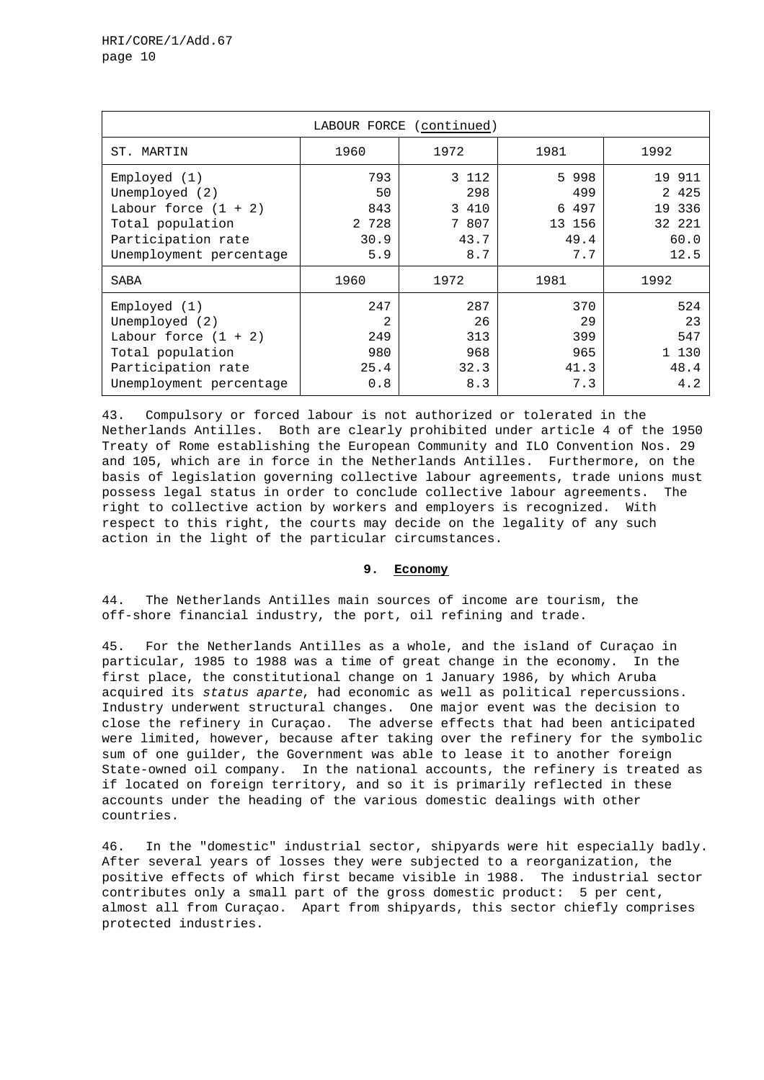| LABOUR FORCE (continued)                                                                                                      |                                          |                                               |                                                   |                                                       |  |  |  |  |  |  |
|-------------------------------------------------------------------------------------------------------------------------------|------------------------------------------|-----------------------------------------------|---------------------------------------------------|-------------------------------------------------------|--|--|--|--|--|--|
| MARTIN<br>ST.                                                                                                                 | 1960                                     | 1972                                          | 1981                                              | 1992                                                  |  |  |  |  |  |  |
| Emploved (1)<br>Unemployed (2)<br>Labour force $(1 + 2)$<br>Total population<br>Participation rate<br>Unemployment percentage | 793<br>50<br>843<br>2 728<br>30.9<br>5.9 | 3 112<br>298<br>3 410<br>7 807<br>43.7<br>8.7 | 5<br>998<br>499<br>6 497<br>13 156<br>49.4<br>7.7 | 19 911<br>2 4 2 5<br>19 336<br>32 221<br>60.0<br>12.5 |  |  |  |  |  |  |
| SABA                                                                                                                          | 1960                                     | 1972                                          | 1981                                              | 1992                                                  |  |  |  |  |  |  |
| Emploved (1)<br>Unemployed (2)<br>Labour force $(1 + 2)$<br>Total population<br>Participation rate<br>Unemployment percentage | 247<br>2<br>249<br>980<br>25.4<br>0.8    | 287<br>26<br>313<br>968<br>32.3<br>8.3        | 370<br>29<br>399<br>965<br>41.3<br>7.3            | 524<br>23<br>547<br>1 130<br>48.4<br>4.2              |  |  |  |  |  |  |

43. Compulsory or forced labour is not authorized or tolerated in the Netherlands Antilles. Both are clearly prohibited under article 4 of the 1950 Treaty of Rome establishing the European Community and ILO Convention Nos. 29 and 105, which are in force in the Netherlands Antilles. Furthermore, on the basis of legislation governing collective labour agreements, trade unions must possess legal status in order to conclude collective labour agreements. The right to collective action by workers and employers is recognized. With respect to this right, the courts may decide on the legality of any such action in the light of the particular circumstances.

# **9. Economy**

44. The Netherlands Antilles main sources of income are tourism, the off-shore financial industry, the port, oil refining and trade.

45. For the Netherlands Antilles as a whole, and the island of Curaçao in particular, 1985 to 1988 was a time of great change in the economy. In the first place, the constitutional change on 1 January 1986, by which Aruba acquired its status aparte, had economic as well as political repercussions. Industry underwent structural changes. One major event was the decision to close the refinery in Curaçao. The adverse effects that had been anticipated were limited, however, because after taking over the refinery for the symbolic sum of one guilder, the Government was able to lease it to another foreign State-owned oil company. In the national accounts, the refinery is treated as if located on foreign territory, and so it is primarily reflected in these accounts under the heading of the various domestic dealings with other countries.

46. In the "domestic" industrial sector, shipyards were hit especially badly. After several years of losses they were subjected to a reorganization, the positive effects of which first became visible in 1988. The industrial sector contributes only a small part of the gross domestic product: 5 per cent, almost all from Curaçao. Apart from shipyards, this sector chiefly comprises protected industries.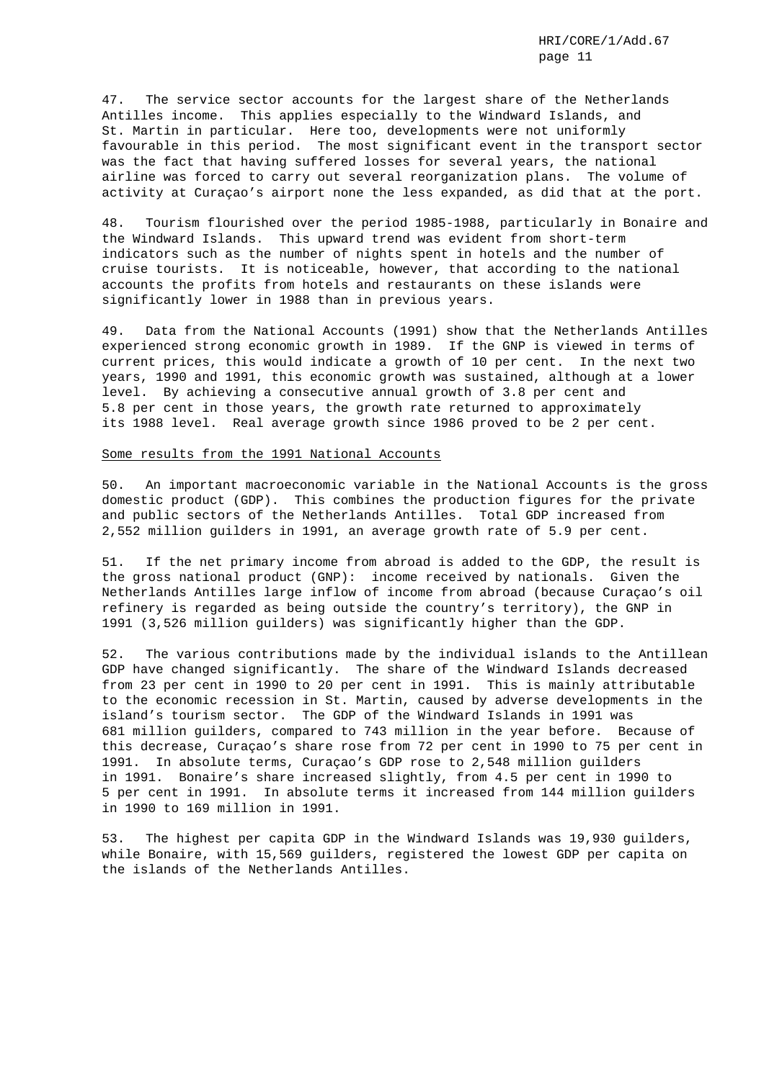47. The service sector accounts for the largest share of the Netherlands Antilles income. This applies especially to the Windward Islands, and St. Martin in particular. Here too, developments were not uniformly favourable in this period. The most significant event in the transport sector was the fact that having suffered losses for several years, the national airline was forced to carry out several reorganization plans. The volume of activity at Curaçao's airport none the less expanded, as did that at the port.

48. Tourism flourished over the period 1985-1988, particularly in Bonaire and the Windward Islands. This upward trend was evident from short-term indicators such as the number of nights spent in hotels and the number of cruise tourists. It is noticeable, however, that according to the national accounts the profits from hotels and restaurants on these islands were significantly lower in 1988 than in previous years.

49. Data from the National Accounts (1991) show that the Netherlands Antilles experienced strong economic growth in 1989. If the GNP is viewed in terms of current prices, this would indicate a growth of 10 per cent. In the next two years, 1990 and 1991, this economic growth was sustained, although at a lower level. By achieving a consecutive annual growth of 3.8 per cent and 5.8 per cent in those years, the growth rate returned to approximately its 1988 level. Real average growth since 1986 proved to be 2 per cent.

### Some results from the 1991 National Accounts

50. An important macroeconomic variable in the National Accounts is the gross domestic product (GDP). This combines the production figures for the private and public sectors of the Netherlands Antilles. Total GDP increased from 2,552 million guilders in 1991, an average growth rate of 5.9 per cent.

51. If the net primary income from abroad is added to the GDP, the result is the gross national product (GNP): income received by nationals. Given the Netherlands Antilles large inflow of income from abroad (because Curaçao's oil refinery is regarded as being outside the country's territory), the GNP in 1991 (3,526 million guilders) was significantly higher than the GDP.

52. The various contributions made by the individual islands to the Antillean GDP have changed significantly. The share of the Windward Islands decreased from 23 per cent in 1990 to 20 per cent in 1991. This is mainly attributable to the economic recession in St. Martin, caused by adverse developments in the island's tourism sector. The GDP of the Windward Islands in 1991 was 681 million guilders, compared to 743 million in the year before. Because of this decrease, Curaçao's share rose from 72 per cent in 1990 to 75 per cent in 1991. In absolute terms, Curaçao's GDP rose to 2,548 million guilders in 1991. Bonaire's share increased slightly, from 4.5 per cent in 1990 to 5 per cent in 1991. In absolute terms it increased from 144 million guilders in 1990 to 169 million in 1991.

53. The highest per capita GDP in the Windward Islands was 19,930 guilders, while Bonaire, with 15,569 guilders, registered the lowest GDP per capita on the islands of the Netherlands Antilles.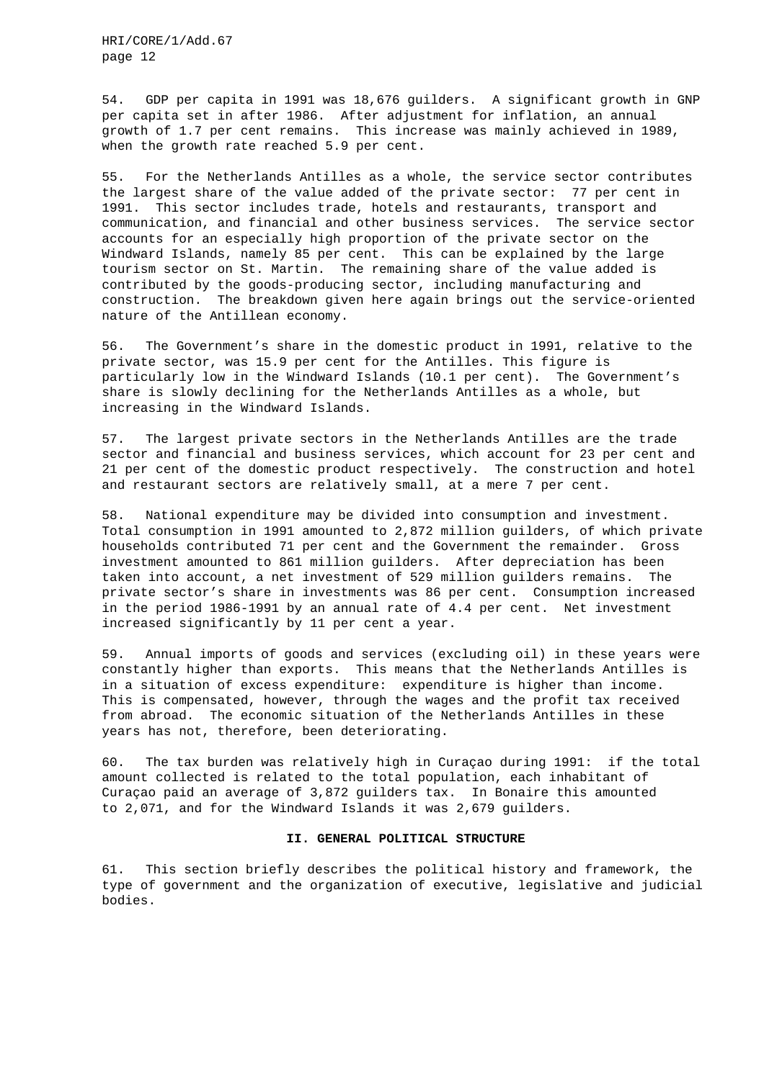54. GDP per capita in 1991 was 18,676 guilders. A significant growth in GNP per capita set in after 1986. After adjustment for inflation, an annual growth of 1.7 per cent remains. This increase was mainly achieved in 1989, when the growth rate reached 5.9 per cent.

55. For the Netherlands Antilles as a whole, the service sector contributes the largest share of the value added of the private sector: 77 per cent in 1991. This sector includes trade, hotels and restaurants, transport and communication, and financial and other business services. The service sector accounts for an especially high proportion of the private sector on the Windward Islands, namely 85 per cent. This can be explained by the large tourism sector on St. Martin. The remaining share of the value added is contributed by the goods-producing sector, including manufacturing and construction. The breakdown given here again brings out the service-oriented nature of the Antillean economy.

56. The Government's share in the domestic product in 1991, relative to the private sector, was 15.9 per cent for the Antilles. This figure is particularly low in the Windward Islands (10.1 per cent). The Government's share is slowly declining for the Netherlands Antilles as a whole, but increasing in the Windward Islands.

57. The largest private sectors in the Netherlands Antilles are the trade sector and financial and business services, which account for 23 per cent and 21 per cent of the domestic product respectively. The construction and hotel and restaurant sectors are relatively small, at a mere 7 per cent.

58. National expenditure may be divided into consumption and investment. Total consumption in 1991 amounted to 2,872 million guilders, of which private households contributed 71 per cent and the Government the remainder. Gross investment amounted to 861 million guilders. After depreciation has been taken into account, a net investment of 529 million guilders remains. The private sector's share in investments was 86 per cent. Consumption increased in the period 1986-1991 by an annual rate of 4.4 per cent. Net investment increased significantly by 11 per cent a year.

59. Annual imports of goods and services (excluding oil) in these years were constantly higher than exports. This means that the Netherlands Antilles is in a situation of excess expenditure: expenditure is higher than income. This is compensated, however, through the wages and the profit tax received from abroad. The economic situation of the Netherlands Antilles in these years has not, therefore, been deteriorating.

60. The tax burden was relatively high in Curaçao during 1991: if the total amount collected is related to the total population, each inhabitant of Curaçao paid an average of 3,872 guilders tax. In Bonaire this amounted to 2,071, and for the Windward Islands it was 2,679 guilders.

#### **II. GENERAL POLITICAL STRUCTURE**

61. This section briefly describes the political history and framework, the type of government and the organization of executive, legislative and judicial bodies.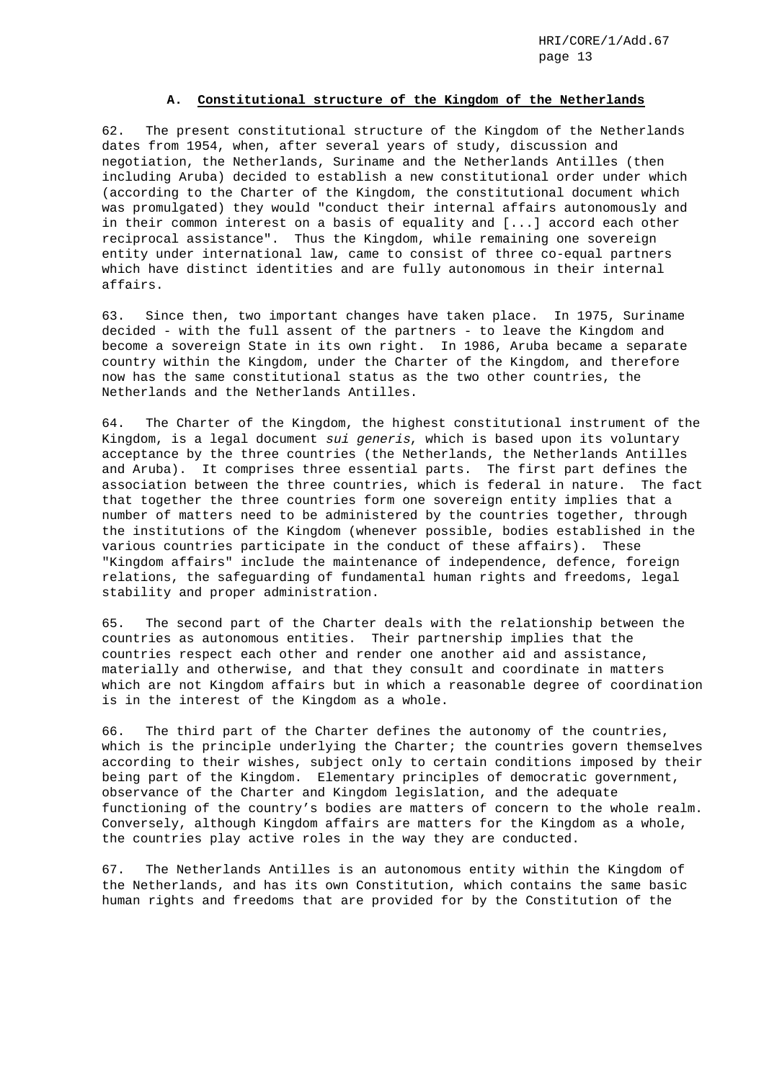# **A. Constitutional structure of the Kingdom of the Netherlands**

62. The present constitutional structure of the Kingdom of the Netherlands dates from 1954, when, after several years of study, discussion and negotiation, the Netherlands, Suriname and the Netherlands Antilles (then including Aruba) decided to establish a new constitutional order under which (according to the Charter of the Kingdom, the constitutional document which was promulgated) they would "conduct their internal affairs autonomously and in their common interest on a basis of equality and [...] accord each other reciprocal assistance". Thus the Kingdom, while remaining one sovereign entity under international law, came to consist of three co-equal partners which have distinct identities and are fully autonomous in their internal affairs.

63. Since then, two important changes have taken place. In 1975, Suriname decided - with the full assent of the partners - to leave the Kingdom and become a sovereign State in its own right. In 1986, Aruba became a separate country within the Kingdom, under the Charter of the Kingdom, and therefore now has the same constitutional status as the two other countries, the Netherlands and the Netherlands Antilles.

64. The Charter of the Kingdom, the highest constitutional instrument of the Kingdom, is a legal document sui generis, which is based upon its voluntary acceptance by the three countries (the Netherlands, the Netherlands Antilles and Aruba). It comprises three essential parts. The first part defines the association between the three countries, which is federal in nature. The fact that together the three countries form one sovereign entity implies that a number of matters need to be administered by the countries together, through the institutions of the Kingdom (whenever possible, bodies established in the various countries participate in the conduct of these affairs). These "Kingdom affairs" include the maintenance of independence, defence, foreign relations, the safeguarding of fundamental human rights and freedoms, legal stability and proper administration.

65. The second part of the Charter deals with the relationship between the countries as autonomous entities. Their partnership implies that the countries respect each other and render one another aid and assistance, materially and otherwise, and that they consult and coordinate in matters which are not Kingdom affairs but in which a reasonable degree of coordination is in the interest of the Kingdom as a whole.

66. The third part of the Charter defines the autonomy of the countries, which is the principle underlying the Charter; the countries govern themselves according to their wishes, subject only to certain conditions imposed by their being part of the Kingdom. Elementary principles of democratic government, observance of the Charter and Kingdom legislation, and the adequate functioning of the country's bodies are matters of concern to the whole realm. Conversely, although Kingdom affairs are matters for the Kingdom as a whole, the countries play active roles in the way they are conducted.

67. The Netherlands Antilles is an autonomous entity within the Kingdom of the Netherlands, and has its own Constitution, which contains the same basic human rights and freedoms that are provided for by the Constitution of the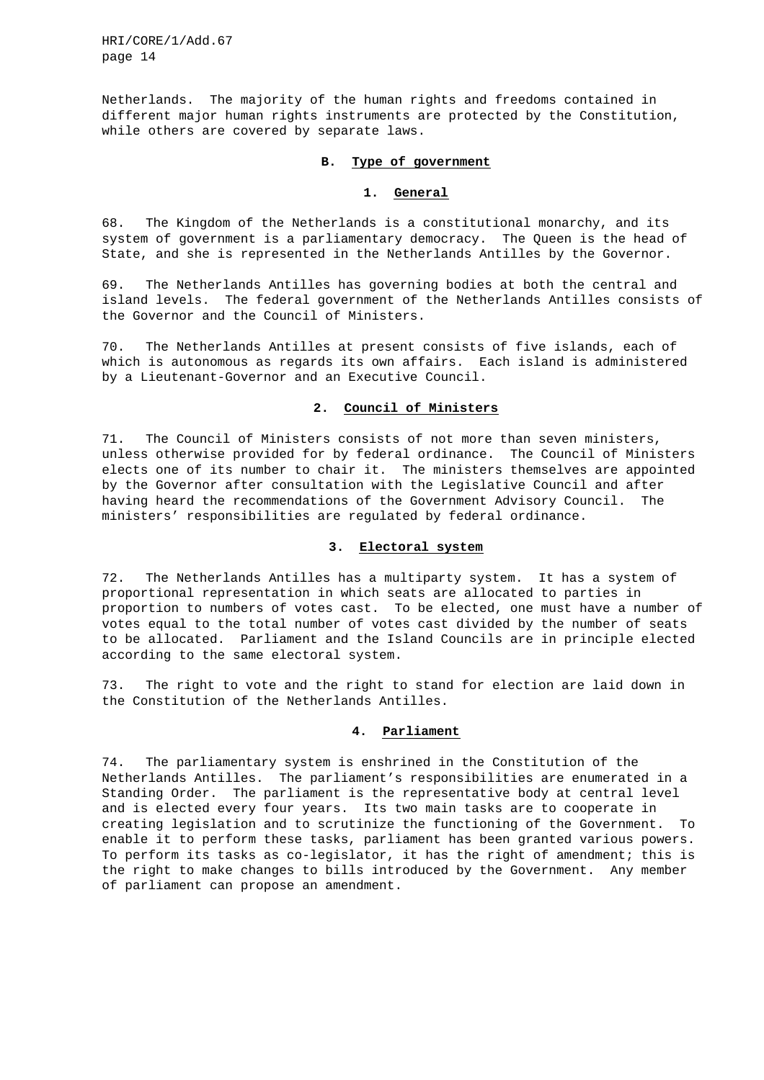Netherlands. The majority of the human rights and freedoms contained in different major human rights instruments are protected by the Constitution, while others are covered by separate laws.

# **B. Type of government**

# **1. General**

68. The Kingdom of the Netherlands is a constitutional monarchy, and its system of government is a parliamentary democracy. The Queen is the head of State, and she is represented in the Netherlands Antilles by the Governor.

69. The Netherlands Antilles has governing bodies at both the central and island levels. The federal government of the Netherlands Antilles consists of the Governor and the Council of Ministers.

70. The Netherlands Antilles at present consists of five islands, each of which is autonomous as regards its own affairs. Each island is administered by a Lieutenant-Governor and an Executive Council.

# **2. Council of Ministers**

71. The Council of Ministers consists of not more than seven ministers, unless otherwise provided for by federal ordinance. The Council of Ministers elects one of its number to chair it. The ministers themselves are appointed by the Governor after consultation with the Legislative Council and after having heard the recommendations of the Government Advisory Council. The ministers' responsibilities are regulated by federal ordinance.

#### **3. Electoral system**

72. The Netherlands Antilles has a multiparty system. It has a system of proportional representation in which seats are allocated to parties in proportion to numbers of votes cast. To be elected, one must have a number of votes equal to the total number of votes cast divided by the number of seats to be allocated. Parliament and the Island Councils are in principle elected according to the same electoral system.

73. The right to vote and the right to stand for election are laid down in the Constitution of the Netherlands Antilles.

### **4. Parliament**

74. The parliamentary system is enshrined in the Constitution of the Netherlands Antilles. The parliament's responsibilities are enumerated in a Standing Order. The parliament is the representative body at central level and is elected every four years. Its two main tasks are to cooperate in creating legislation and to scrutinize the functioning of the Government. To enable it to perform these tasks, parliament has been granted various powers. To perform its tasks as co-legislator, it has the right of amendment; this is the right to make changes to bills introduced by the Government. Any member of parliament can propose an amendment.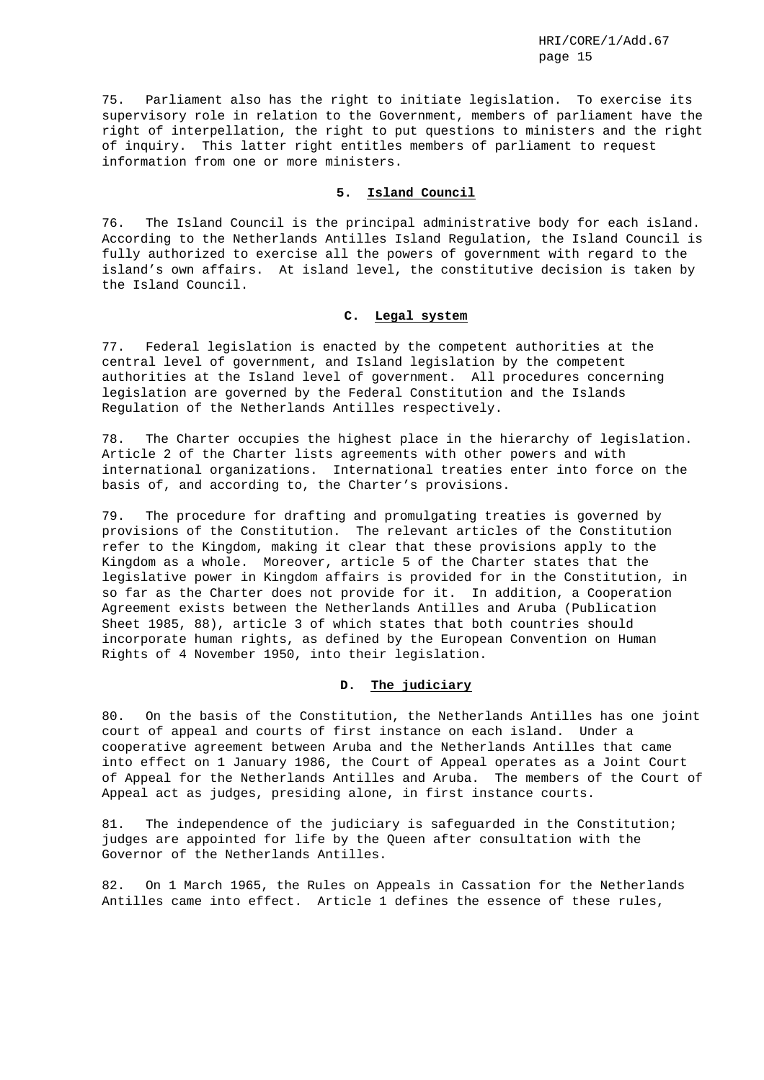75. Parliament also has the right to initiate legislation. To exercise its supervisory role in relation to the Government, members of parliament have the right of interpellation, the right to put questions to ministers and the right of inquiry. This latter right entitles members of parliament to request information from one or more ministers.

### **5. Island Council**

76. The Island Council is the principal administrative body for each island. According to the Netherlands Antilles Island Regulation, the Island Council is fully authorized to exercise all the powers of government with regard to the island's own affairs. At island level, the constitutive decision is taken by the Island Council.

## **C. Legal system**

77. Federal legislation is enacted by the competent authorities at the central level of government, and Island legislation by the competent authorities at the Island level of government. All procedures concerning legislation are governed by the Federal Constitution and the Islands Regulation of the Netherlands Antilles respectively.

78. The Charter occupies the highest place in the hierarchy of legislation. Article 2 of the Charter lists agreements with other powers and with international organizations. International treaties enter into force on the basis of, and according to, the Charter's provisions.

79. The procedure for drafting and promulgating treaties is governed by provisions of the Constitution. The relevant articles of the Constitution refer to the Kingdom, making it clear that these provisions apply to the Kingdom as a whole. Moreover, article 5 of the Charter states that the legislative power in Kingdom affairs is provided for in the Constitution, in so far as the Charter does not provide for it. In addition, a Cooperation Agreement exists between the Netherlands Antilles and Aruba (Publication Sheet 1985, 88), article 3 of which states that both countries should incorporate human rights, as defined by the European Convention on Human Rights of 4 November 1950, into their legislation.

# **D. The judiciary**

80. On the basis of the Constitution, the Netherlands Antilles has one joint court of appeal and courts of first instance on each island. Under a cooperative agreement between Aruba and the Netherlands Antilles that came into effect on 1 January 1986, the Court of Appeal operates as a Joint Court of Appeal for the Netherlands Antilles and Aruba. The members of the Court of Appeal act as judges, presiding alone, in first instance courts.

81. The independence of the judiciary is safeguarded in the Constitution; judges are appointed for life by the Queen after consultation with the Governor of the Netherlands Antilles.

82. On 1 March 1965, the Rules on Appeals in Cassation for the Netherlands Antilles came into effect. Article 1 defines the essence of these rules,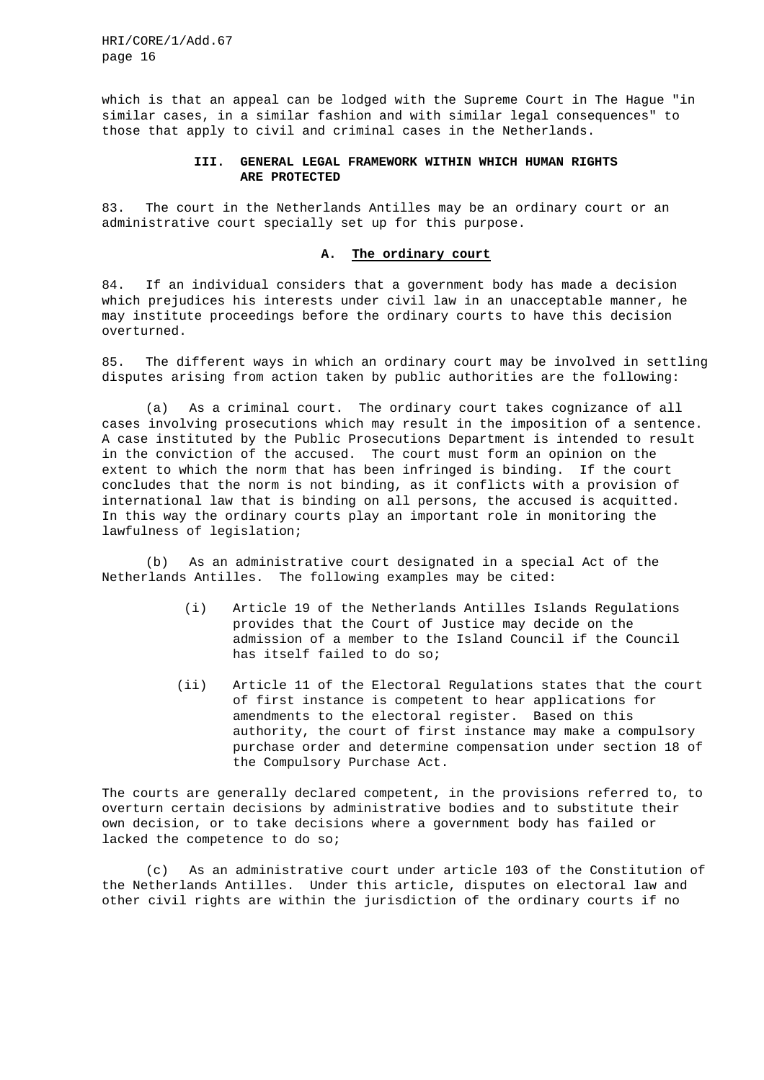which is that an appeal can be lodged with the Supreme Court in The Hague "in similar cases, in a similar fashion and with similar legal consequences" to those that apply to civil and criminal cases in the Netherlands.

# **III. GENERAL LEGAL FRAMEWORK WITHIN WHICH HUMAN RIGHTS ARE PROTECTED**

83. The court in the Netherlands Antilles may be an ordinary court or an administrative court specially set up for this purpose.

#### **A. The ordinary court**

84. If an individual considers that a government body has made a decision which prejudices his interests under civil law in an unacceptable manner, he may institute proceedings before the ordinary courts to have this decision overturned.

85. The different ways in which an ordinary court may be involved in settling disputes arising from action taken by public authorities are the following:

(a) As a criminal court. The ordinary court takes cognizance of all cases involving prosecutions which may result in the imposition of a sentence. A case instituted by the Public Prosecutions Department is intended to result in the conviction of the accused. The court must form an opinion on the extent to which the norm that has been infringed is binding. If the court concludes that the norm is not binding, as it conflicts with a provision of international law that is binding on all persons, the accused is acquitted. In this way the ordinary courts play an important role in monitoring the lawfulness of legislation;

(b) As an administrative court designated in a special Act of the Netherlands Antilles. The following examples may be cited:

- (i) Article 19 of the Netherlands Antilles Islands Regulations provides that the Court of Justice may decide on the admission of a member to the Island Council if the Council has itself failed to do so;
- (ii) Article 11 of the Electoral Regulations states that the court of first instance is competent to hear applications for amendments to the electoral register. Based on this authority, the court of first instance may make a compulsory purchase order and determine compensation under section 18 of the Compulsory Purchase Act.

The courts are generally declared competent, in the provisions referred to, to overturn certain decisions by administrative bodies and to substitute their own decision, or to take decisions where a government body has failed or lacked the competence to do so;

(c) As an administrative court under article 103 of the Constitution of the Netherlands Antilles. Under this article, disputes on electoral law and other civil rights are within the jurisdiction of the ordinary courts if no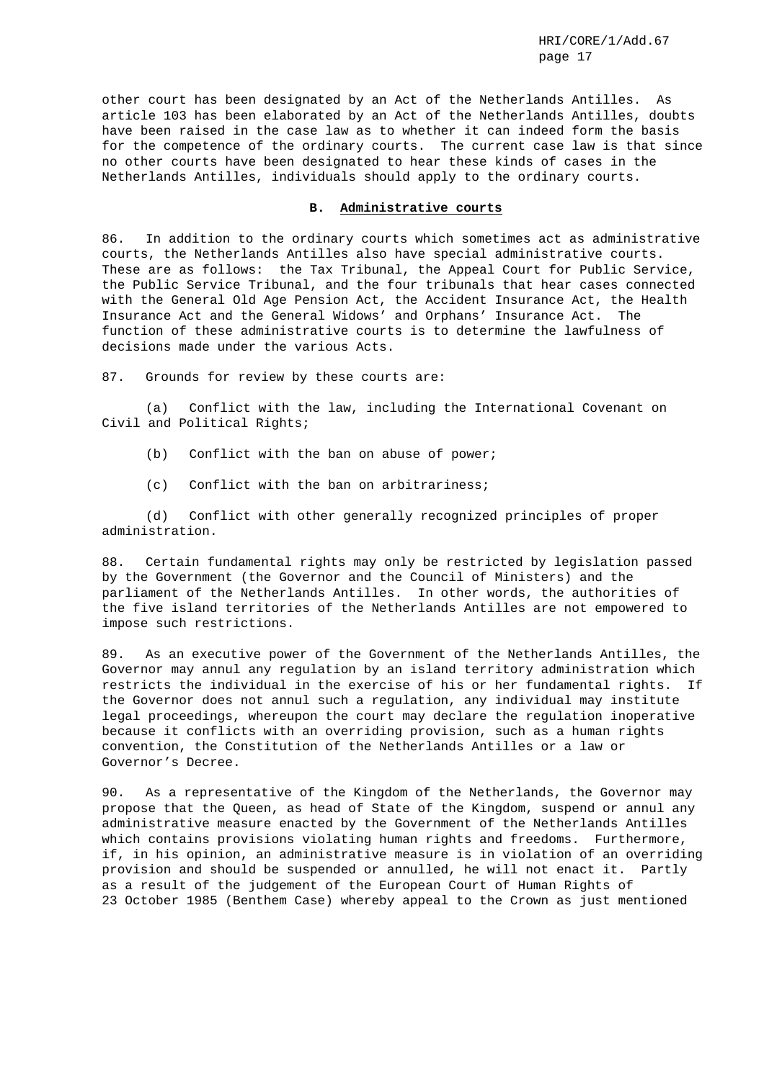other court has been designated by an Act of the Netherlands Antilles. As article 103 has been elaborated by an Act of the Netherlands Antilles, doubts have been raised in the case law as to whether it can indeed form the basis for the competence of the ordinary courts. The current case law is that since no other courts have been designated to hear these kinds of cases in the Netherlands Antilles, individuals should apply to the ordinary courts.

#### **B. Administrative courts**

86. In addition to the ordinary courts which sometimes act as administrative courts, the Netherlands Antilles also have special administrative courts. These are as follows: the Tax Tribunal, the Appeal Court for Public Service, the Public Service Tribunal, and the four tribunals that hear cases connected with the General Old Age Pension Act, the Accident Insurance Act, the Health Insurance Act and the General Widows' and Orphans' Insurance Act. The function of these administrative courts is to determine the lawfulness of decisions made under the various Acts.

87. Grounds for review by these courts are:

(a) Conflict with the law, including the International Covenant on Civil and Political Rights;

- (b) Conflict with the ban on abuse of power;
- (c) Conflict with the ban on arbitrariness;

(d) Conflict with other generally recognized principles of proper administration.

88. Certain fundamental rights may only be restricted by legislation passed by the Government (the Governor and the Council of Ministers) and the parliament of the Netherlands Antilles. In other words, the authorities of the five island territories of the Netherlands Antilles are not empowered to impose such restrictions.

89. As an executive power of the Government of the Netherlands Antilles, the Governor may annul any regulation by an island territory administration which restricts the individual in the exercise of his or her fundamental rights. If the Governor does not annul such a regulation, any individual may institute legal proceedings, whereupon the court may declare the regulation inoperative because it conflicts with an overriding provision, such as a human rights convention, the Constitution of the Netherlands Antilles or a law or Governor's Decree.

90. As a representative of the Kingdom of the Netherlands, the Governor may propose that the Queen, as head of State of the Kingdom, suspend or annul any administrative measure enacted by the Government of the Netherlands Antilles which contains provisions violating human rights and freedoms. Furthermore, if, in his opinion, an administrative measure is in violation of an overriding provision and should be suspended or annulled, he will not enact it. Partly as a result of the judgement of the European Court of Human Rights of 23 October 1985 (Benthem Case) whereby appeal to the Crown as just mentioned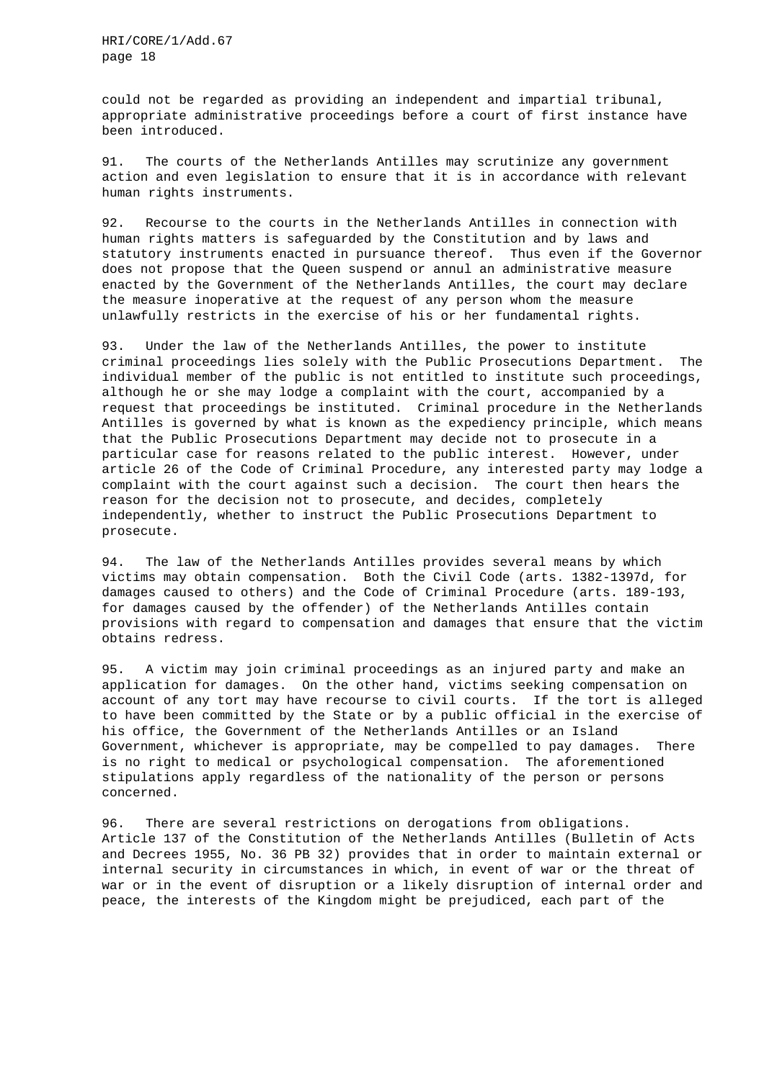could not be regarded as providing an independent and impartial tribunal, appropriate administrative proceedings before a court of first instance have been introduced.

91. The courts of the Netherlands Antilles may scrutinize any government action and even legislation to ensure that it is in accordance with relevant human rights instruments.

92. Recourse to the courts in the Netherlands Antilles in connection with human rights matters is safeguarded by the Constitution and by laws and statutory instruments enacted in pursuance thereof. Thus even if the Governor does not propose that the Queen suspend or annul an administrative measure enacted by the Government of the Netherlands Antilles, the court may declare the measure inoperative at the request of any person whom the measure unlawfully restricts in the exercise of his or her fundamental rights.

93. Under the law of the Netherlands Antilles, the power to institute criminal proceedings lies solely with the Public Prosecutions Department. The individual member of the public is not entitled to institute such proceedings, although he or she may lodge a complaint with the court, accompanied by a request that proceedings be instituted. Criminal procedure in the Netherlands Antilles is governed by what is known as the expediency principle, which means that the Public Prosecutions Department may decide not to prosecute in a particular case for reasons related to the public interest. However, under article 26 of the Code of Criminal Procedure, any interested party may lodge a complaint with the court against such a decision. The court then hears the reason for the decision not to prosecute, and decides, completely independently, whether to instruct the Public Prosecutions Department to prosecute.

94. The law of the Netherlands Antilles provides several means by which victims may obtain compensation. Both the Civil Code (arts. 1382-1397d, for damages caused to others) and the Code of Criminal Procedure (arts. 189-193, for damages caused by the offender) of the Netherlands Antilles contain provisions with regard to compensation and damages that ensure that the victim obtains redress.

95. A victim may join criminal proceedings as an injured party and make an application for damages. On the other hand, victims seeking compensation on account of any tort may have recourse to civil courts. If the tort is alleged to have been committed by the State or by a public official in the exercise of his office, the Government of the Netherlands Antilles or an Island Government, whichever is appropriate, may be compelled to pay damages. There is no right to medical or psychological compensation. The aforementioned stipulations apply regardless of the nationality of the person or persons concerned.

96. There are several restrictions on derogations from obligations. Article 137 of the Constitution of the Netherlands Antilles (Bulletin of Acts and Decrees 1955, No. 36 PB 32) provides that in order to maintain external or internal security in circumstances in which, in event of war or the threat of war or in the event of disruption or a likely disruption of internal order and peace, the interests of the Kingdom might be prejudiced, each part of the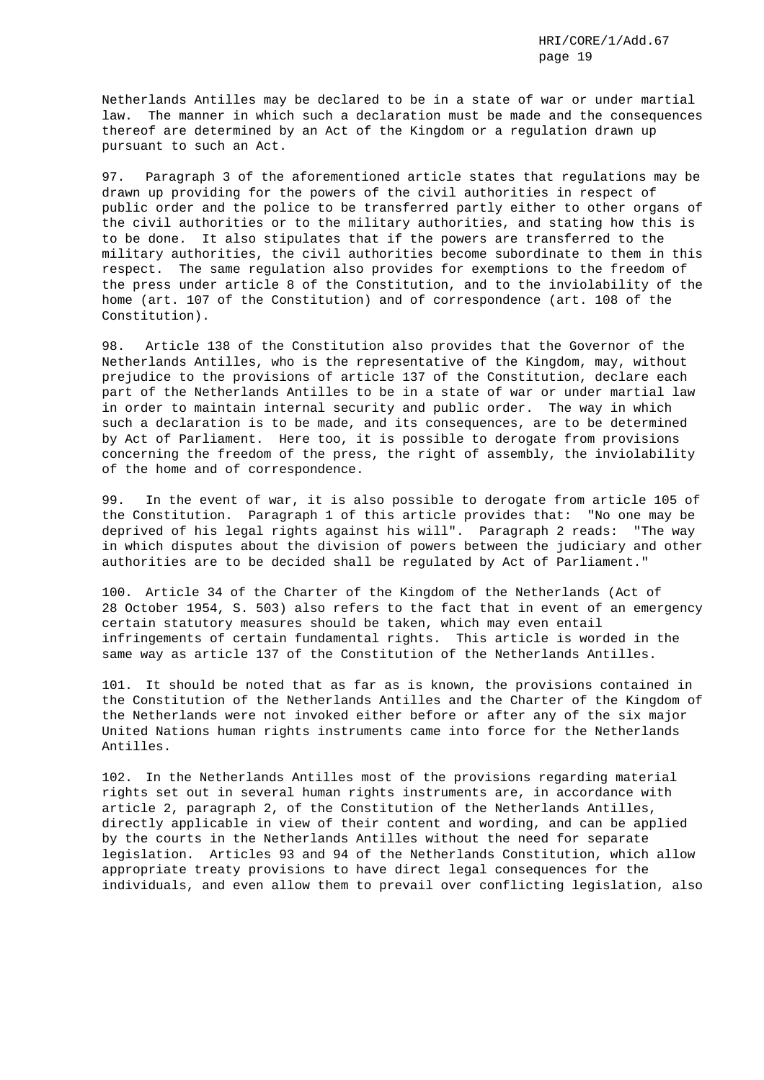Netherlands Antilles may be declared to be in a state of war or under martial law. The manner in which such a declaration must be made and the consequences thereof are determined by an Act of the Kingdom or a regulation drawn up pursuant to such an Act.

97. Paragraph 3 of the aforementioned article states that regulations may be drawn up providing for the powers of the civil authorities in respect of public order and the police to be transferred partly either to other organs of the civil authorities or to the military authorities, and stating how this is to be done. It also stipulates that if the powers are transferred to the military authorities, the civil authorities become subordinate to them in this respect. The same regulation also provides for exemptions to the freedom of the press under article 8 of the Constitution, and to the inviolability of the home (art. 107 of the Constitution) and of correspondence (art. 108 of the Constitution).

98. Article 138 of the Constitution also provides that the Governor of the Netherlands Antilles, who is the representative of the Kingdom, may, without prejudice to the provisions of article 137 of the Constitution, declare each part of the Netherlands Antilles to be in a state of war or under martial law in order to maintain internal security and public order. The way in which such a declaration is to be made, and its consequences, are to be determined by Act of Parliament. Here too, it is possible to derogate from provisions concerning the freedom of the press, the right of assembly, the inviolability of the home and of correspondence.

99. In the event of war, it is also possible to derogate from article 105 of the Constitution. Paragraph 1 of this article provides that: "No one may be deprived of his legal rights against his will". Paragraph 2 reads: "The way in which disputes about the division of powers between the judiciary and other authorities are to be decided shall be regulated by Act of Parliament."

100. Article 34 of the Charter of the Kingdom of the Netherlands (Act of 28 October 1954, S. 503) also refers to the fact that in event of an emergency certain statutory measures should be taken, which may even entail infringements of certain fundamental rights. This article is worded in the same way as article 137 of the Constitution of the Netherlands Antilles.

101. It should be noted that as far as is known, the provisions contained in the Constitution of the Netherlands Antilles and the Charter of the Kingdom of the Netherlands were not invoked either before or after any of the six major United Nations human rights instruments came into force for the Netherlands Antilles.

102. In the Netherlands Antilles most of the provisions regarding material rights set out in several human rights instruments are, in accordance with article 2, paragraph 2, of the Constitution of the Netherlands Antilles, directly applicable in view of their content and wording, and can be applied by the courts in the Netherlands Antilles without the need for separate legislation. Articles 93 and 94 of the Netherlands Constitution, which allow appropriate treaty provisions to have direct legal consequences for the individuals, and even allow them to prevail over conflicting legislation, also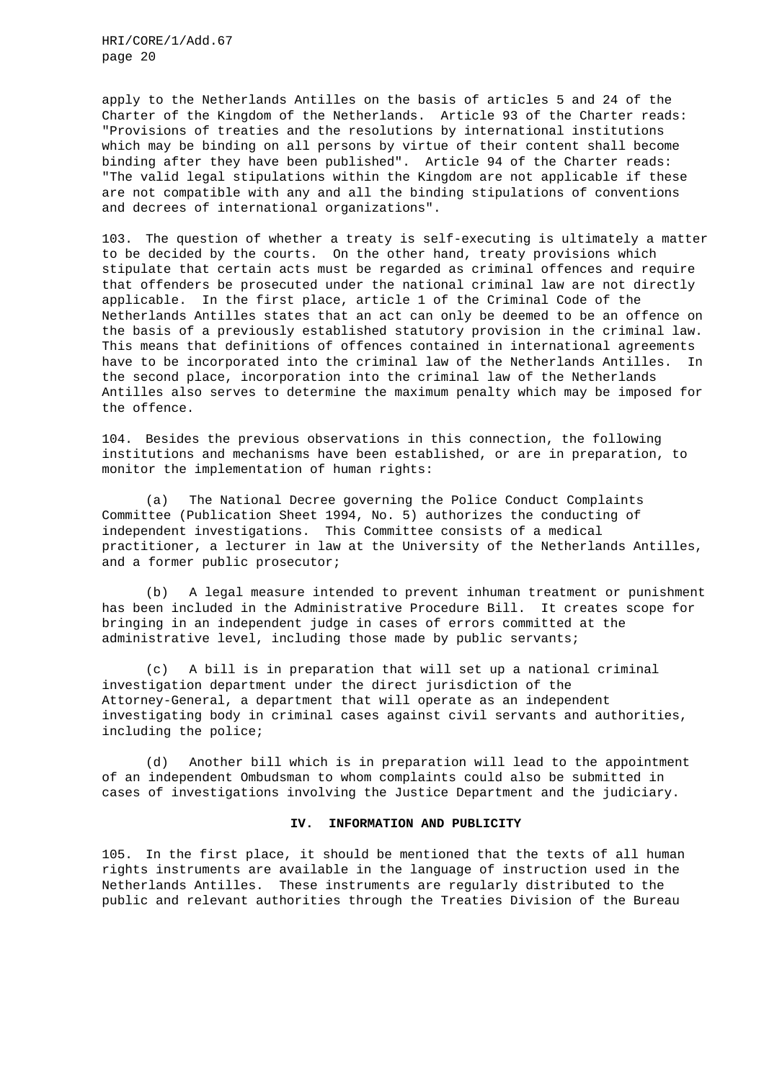apply to the Netherlands Antilles on the basis of articles 5 and 24 of the Charter of the Kingdom of the Netherlands. Article 93 of the Charter reads: "Provisions of treaties and the resolutions by international institutions which may be binding on all persons by virtue of their content shall become binding after they have been published". Article 94 of the Charter reads: "The valid legal stipulations within the Kingdom are not applicable if these are not compatible with any and all the binding stipulations of conventions and decrees of international organizations".

103. The question of whether a treaty is self-executing is ultimately a matter to be decided by the courts. On the other hand, treaty provisions which stipulate that certain acts must be regarded as criminal offences and require that offenders be prosecuted under the national criminal law are not directly applicable. In the first place, article 1 of the Criminal Code of the Netherlands Antilles states that an act can only be deemed to be an offence on the basis of a previously established statutory provision in the criminal law. This means that definitions of offences contained in international agreements have to be incorporated into the criminal law of the Netherlands Antilles. In the second place, incorporation into the criminal law of the Netherlands Antilles also serves to determine the maximum penalty which may be imposed for the offence.

104. Besides the previous observations in this connection, the following institutions and mechanisms have been established, or are in preparation, to monitor the implementation of human rights:

(a) The National Decree governing the Police Conduct Complaints Committee (Publication Sheet 1994, No. 5) authorizes the conducting of independent investigations. This Committee consists of a medical practitioner, a lecturer in law at the University of the Netherlands Antilles, and a former public prosecutor;

(b) A legal measure intended to prevent inhuman treatment or punishment has been included in the Administrative Procedure Bill. It creates scope for bringing in an independent judge in cases of errors committed at the administrative level, including those made by public servants;

(c) A bill is in preparation that will set up a national criminal investigation department under the direct jurisdiction of the Attorney-General, a department that will operate as an independent investigating body in criminal cases against civil servants and authorities, including the police;

(d) Another bill which is in preparation will lead to the appointment of an independent Ombudsman to whom complaints could also be submitted in cases of investigations involving the Justice Department and the judiciary.

#### **IV. INFORMATION AND PUBLICITY**

105. In the first place, it should be mentioned that the texts of all human rights instruments are available in the language of instruction used in the Netherlands Antilles. These instruments are regularly distributed to the public and relevant authorities through the Treaties Division of the Bureau